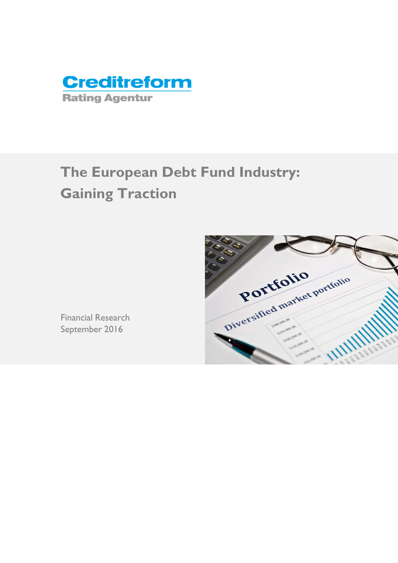

# **The European Debt Fund Industry: Gaining Traction**



Financial Research September 2016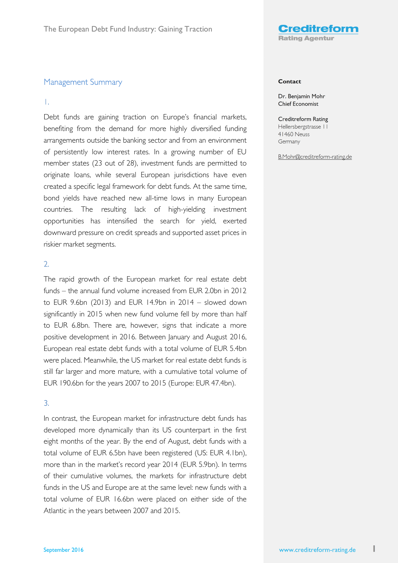

## Management Summary

### 1.

Debt funds are gaining traction on Europe's financial markets, benefiting from the demand for more highly diversified funding arrangements outside the banking sector and from an environment of persistently low interest rates. In a growing number of EU member states (23 out of 28), investment funds are permitted to originate loans, while several European jurisdictions have even created a specific legal framework for debt funds. At the same time, bond yields have reached new all-time lows in many European countries. The resulting lack of high-yielding investment opportunities has intensified the search for yield, exerted downward pressure on credit spreads and supported asset prices in riskier market segments.

# 2.

The rapid growth of the European market for real estate debt funds – the annual fund volume increased from EUR 2.0bn in 2012 to EUR 9.6bn (2013) and EUR 14.9bn in 2014 – slowed down significantly in 2015 when new fund volume fell by more than half to EUR 6.8bn. There are, however, signs that indicate a more positive development in 2016. Between January and August 2016, European real estate debt funds with a total volume of EUR 5.4bn were placed. Meanwhile, the US market for real estate debt funds is still far larger and more mature, with a cumulative total volume of EUR 190.6bn for the years 2007 to 2015 (Europe: EUR 47.4bn).

# 3.

In contrast, the European market for infrastructure debt funds has developed more dynamically than its US counterpart in the first eight months of the year. By the end of August, debt funds with a total volume of EUR 6.5bn have been registered (US: EUR 4.1bn), more than in the market's record year 2014 (EUR 5.9bn). In terms of their cumulative volumes, the markets for infrastructure debt funds in the US and Europe are at the same level: new funds with a total volume of EUR 16.6bn were placed on either side of the Atlantic in the years between 2007 and 2015.

#### **Contact**

Dr. Benjamin Mohr Chief Economist

Creditreform Rating Hellersbergstrasse 11 41460 Neuss Germany

B.Mohr@creditreform-rating.de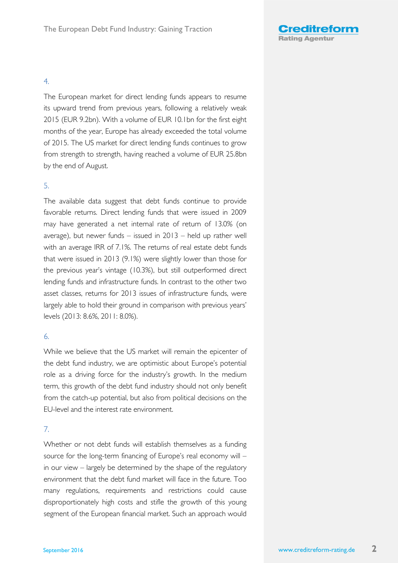

# 4.

The European market for direct lending funds appears to resume its upward trend from previous years, following a relatively weak 2015 (EUR 9.2bn). With a volume of EUR 10.1bn for the first eight months of the year, Europe has already exceeded the total volume of 2015. The US market for direct lending funds continues to grow from strength to strength, having reached a volume of EUR 25.8bn by the end of August.

# 5.

The available data suggest that debt funds continue to provide favorable returns. Direct lending funds that were issued in 2009 may have generated a net internal rate of return of 13.0% (on average), but newer funds – issued in 2013 – held up rather well with an average IRR of 7.1%. The returns of real estate debt funds that were issued in 2013 (9.1%) were slightly lower than those for the previous year's vintage (10.3%), but still outperformed direct lending funds and infrastructure funds. In contrast to the other two asset classes, returns for 2013 issues of infrastructure funds, were largely able to hold their ground in comparison with previous years' levels (2013: 8.6%, 2011: 8.0%).

### 6.

While we believe that the US market will remain the epicenter of the debt fund industry, we are optimistic about Europe's potential role as a driving force for the industry's growth. In the medium term, this growth of the debt fund industry should not only benefit from the catch-up potential, but also from political decisions on the EU-level and the interest rate environment.

# 7.

Whether or not debt funds will establish themselves as a funding source for the long-term financing of Europe's real economy will – in our view – largely be determined by the shape of the regulatory environment that the debt fund market will face in the future. Too many regulations, requirements and restrictions could cause disproportionately high costs and stifle the growth of this young segment of the European financial market. Such an approach would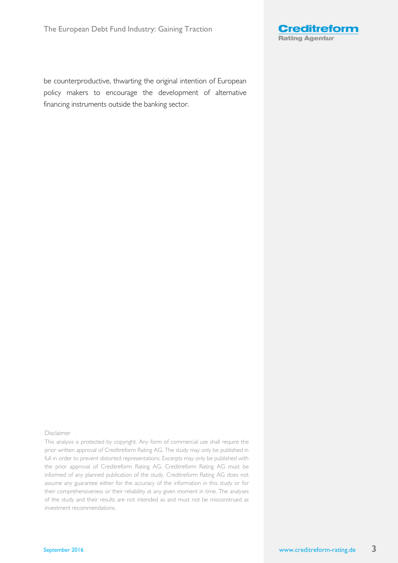

be counterproductive, thwarting the original intention of European policy makers to encourage the development of alternative financing instruments outside the banking sector.

#### Disclaimer

This analysis is protected by copyright. Any form of commercial use shall require the prior written approval of Creditreform Rating AG. The study may only be published in full in order to prevent distorted representations. Excerpts may only be published with the prior approval of Creditreform Rating AG. Creditreform Rating AG must be informed of any planned publication of the study. Creditreform Rating AG does not assume any guarantee either for the accuracy of the information in this study or for their comprehensiveness or their reliability at any given moment in time. The analyses of the study and their results are not intended as and must not be misconstrued as investment recommendations.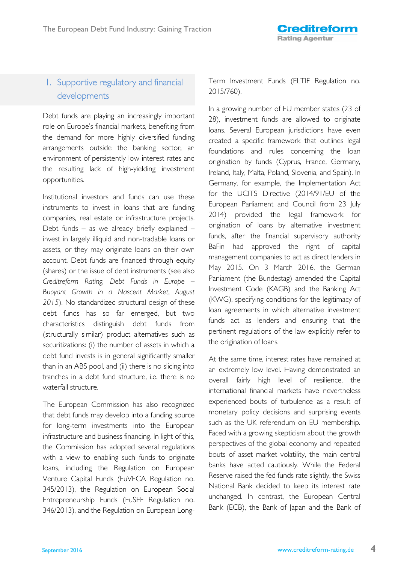# 1. Supportive regulatory and financial developments

Debt funds are playing an increasingly important role on Europe's financial markets, benefiting from the demand for more highly diversified funding arrangements outside the banking sector, an environment of persistently low interest rates and the resulting lack of high-yielding investment opportunities.

Institutional investors and funds can use these instruments to invest in loans that are funding companies, real estate or infrastructure projects. Debt funds – as we already briefly explained – invest in largely illiquid and non-tradable loans or assets, or they may originate loans on their own account. Debt funds are financed through equity (shares) or the issue of debt instruments (see also *Creditreform Rating, Debt Funds in Europe – Buoyant Growth in a Nascent Market*, *August 2015*). No standardized structural design of these debt funds has so far emerged, but two characteristics distinguish debt funds from (structurally similar) product alternatives such as securitizations: (i) the number of assets in which a debt fund invests is in general significantly smaller than in an ABS pool, and (ii) there is no slicing into tranches in a debt fund structure, i.e. there is no waterfall structure.

The European Commission has also recognized that debt funds may develop into a funding source for long-term investments into the European infrastructure and business financing. In light of this, the Commission has adopted several regulations with a view to enabling such funds to originate loans, including the Regulation on European Venture Capital Funds (EuVECA Regulation no. 345/2013), the Regulation on European Social Entrepreneurship Funds (EuSEF Regulation no. 346/2013), and the Regulation on European LongTerm Investment Funds (ELTIF Regulation no. 2015/760).

In a growing number of EU member states (23 of 28), investment funds are allowed to originate loans. Several European jurisdictions have even created a specific framework that outlines legal foundations and rules concerning the loan origination by funds (Cyprus, France, Germany, Ireland, Italy, Malta, Poland, Slovenia, and Spain). In Germany, for example, the Implementation Act for the UCITS Directive (2014/91/EU of the European Parliament and Council from 23 July 2014) provided the legal framework for origination of loans by alternative investment funds, after the financial supervisory authority BaFin had approved the right of capital management companies to act as direct lenders in May 2015. On 3 March 2016, the German Parliament (the Bundestag) amended the Capital Investment Code (KAGB) and the Banking Act (KWG), specifying conditions for the legitimacy of loan agreements in which alternative investment funds act as lenders and ensuring that the pertinent regulations of the law explicitly refer to the origination of loans.

At the same time, interest rates have remained at an extremely low level. Having demonstrated an overall fairly high level of resilience, the international financial markets have nevertheless experienced bouts of turbulence as a result of monetary policy decisions and surprising events such as the UK referendum on EU membership. Faced with a growing skepticism about the growth perspectives of the global economy and repeated bouts of asset market volatility, the main central banks have acted cautiously. While the Federal Reserve raised the fed funds rate slightly, the Swiss National Bank decided to keep its interest rate unchanged. In contrast, the European Central Bank (ECB), the Bank of Japan and the Bank of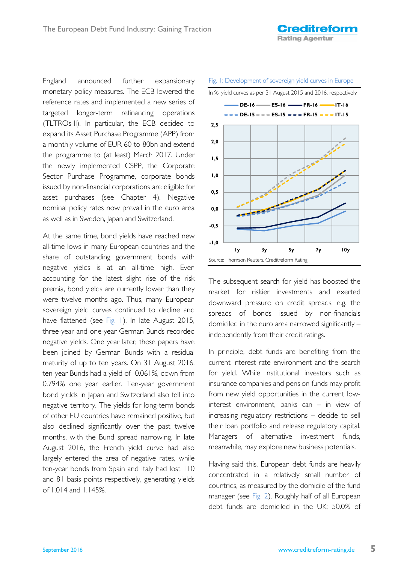England announced further expansionary monetary policy measures. The ECB lowered the reference rates and implemented a new series of targeted longer-term refinancing operations (TLTROs-II). In particular, the ECB decided to expand its Asset Purchase Programme (APP) from a monthly volume of EUR 60 to 80bn and extend the programme to (at least) March 2017. Under the newly implemented CSPP, the Corporate Sector Purchase Programme, corporate bonds issued by non-financial corporations are eligible for asset purchases (see Chapter 4). Negative nominal policy rates now prevail in the euro area as well as in Sweden, Japan and Switzerland.

At the same time, bond yields have reached new all-time lows in many European countries and the share of outstanding government bonds with negative yields is at an all-time high. Even accounting for the latest slight rise of the risk premia, bond yields are currently lower than they were twelve months ago. Thus, many European sovereign yield curves continued to decline and have flattened (see Fig. 1). In late August 2015, three-year and one-year German Bunds recorded negative yields. One year later, these papers have been joined by German Bunds with a residual maturity of up to ten years. On 31 August 2016, ten-year Bunds had a yield of -0.061%, down from 0.794% one year earlier. Ten-year government bond yields in Japan and Switzerland also fell into negative territory. The yields for long-term bonds of other EU countries have remained positive, but also declined significantly over the past twelve months, with the Bund spread narrowing. In late August 2016, the French yield curve had also largely entered the area of negative rates, while ten-year bonds from Spain and Italy had lost 110 and 81 basis points respectively, generating yields of 1.014 and 1.145%.



Fig. 1: Development of sovereign yield curves in Europe

The subsequent search for yield has boosted the market for riskier investments and exerted downward pressure on credit spreads, e.g. the spreads of bonds issued by non-financials domiciled in the euro area narrowed significantly – independently from their credit ratings.

In principle, debt funds are benefiting from the current interest rate environment and the search for yield. While institutional investors such as insurance companies and pension funds may profit from new yield opportunities in the current lowinterest environment, banks can – in view of increasing regulatory restrictions – decide to sell their loan portfolio and release regulatory capital. Managers of alternative investment funds, meanwhile, may explore new business potentials.

Having said this, European debt funds are heavily concentrated in a relatively small number of countries, as measured by the domicile of the fund manager (see Fig. 2). Roughly half of all European debt funds are domiciled in the UK: 50.0% of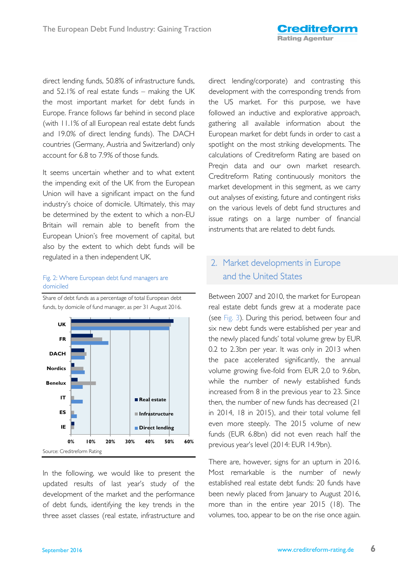direct lending funds, 50.8% of infrastructure funds, and 52.1% of real estate funds – making the UK the most important market for debt funds in Europe. France follows far behind in second place (with 11.1% of all European real estate debt funds and 19.0% of direct lending funds). The DACH countries (Germany, Austria and Switzerland) only account for 6.8 to 7.9% of those funds.

It seems uncertain whether and to what extent the impending exit of the UK from the European Union will have a significant impact on the fund industry's choice of domicile. Ultimately, this may be determined by the extent to which a non-EU Britain will remain able to benefit from the European Union's free movement of capital, but also by the extent to which debt funds will be regulated in a then independent UK.

# Fig. 2: Where European debt fund managers are domiciled

Share of debt funds as a percentage of total European debt funds, by domicile of fund manager, as per 31 August 2016.



In the following, we would like to present the updated results of last year's study of the development of the market and the performance of debt funds, identifying the key trends in the three asset classes (real estate, infrastructure and direct lending/corporate) and contrasting this development with the corresponding trends from the US market. For this purpose, we have followed an inductive and explorative approach, gathering all available information about the European market for debt funds in order to cast a spotlight on the most striking developments. The calculations of Creditreform Rating are based on Preqin data and our own market research. Creditreform Rating continuously monitors the market development in this segment, as we carry out analyses of existing, future and contingent risks on the various levels of debt fund structures and issue ratings on a large number of financial instruments that are related to debt funds.

# 2. Market developments in Europe and the United States

Between 2007 and 2010, the market for European real estate debt funds grew at a moderate pace (see Fig. 3). During this period, between four and six new debt funds were established per year and the newly placed funds' total volume grew by EUR 0.2 to 2.3bn per year. It was only in 2013 when the pace accelerated significantly, the annual volume growing five-fold from EUR 2.0 to 9.6bn, while the number of newly established funds increased from 8 in the previous year to 23. Since then, the number of new funds has decreased (21 in 2014, 18 in 2015), and their total volume fell even more steeply. The 2015 volume of new funds (EUR 6.8bn) did not even reach half the previous year's level (2014: EUR 14.9bn).

There are, however, signs for an upturn in 2016. Most remarkable is the number of newly established real estate debt funds: 20 funds have been newly placed from January to August 2016, more than in the entire year 2015 (18). The volumes, too, appear to be on the rise once again.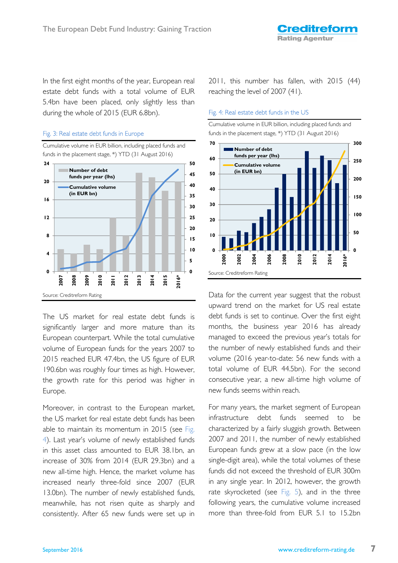In the first eight months of the year, European real estate debt funds with a total volume of EUR 5.4bn have been placed, only slightly less than during the whole of 2015 (EUR 6.8bn).

### Fig. 3: Real estate debt funds in Europe

Cumulative volume in EUR billion, including placed funds and funds in the placement stage, \*) YTD (31 August 2016)



The US market for real estate debt funds is significantly larger and more mature than its European counterpart. While the total cumulative volume of European funds for the years 2007 to 2015 reached EUR 47.4bn, the US figure of EUR 190.6bn was roughly four times as high. However, the growth rate for this period was higher in Europe.

Moreover, in contrast to the European market, the US market for real estate debt funds has been able to maintain its momentum in 2015 (see Fig. 4). Last year's volume of newly established funds in this asset class amounted to EUR 38.1bn, an increase of 30% from 2014 (EUR 29.3bn) and a new all-time high. Hence, the market volume has increased nearly three-fold since 2007 (EUR 13.0bn). The number of newly established funds, meanwhile, has not risen quite as sharply and consistently. After 65 new funds were set up in

2011, this number has fallen, with 2015 (44) reaching the level of 2007 (41).

#### Fig. 4: Real estate debt funds in the US



Data for the current year suggest that the robust upward trend on the market for US real estate debt funds is set to continue. Over the first eight months, the business year 2016 has already managed to exceed the previous year's totals for the number of newly established funds and their volume (2016 year-to-date: 56 new funds with a total volume of EUR 44.5bn). For the second consecutive year, a new all-time high volume of new funds seems within reach.

For many years, the market segment of European infrastructure debt funds seemed to be characterized by a fairly sluggish growth. Between 2007 and 2011, the number of newly established European funds grew at a slow pace (in the low single-digit area), while the total volumes of these funds did not exceed the threshold of EUR 300m in any single year. In 2012, however, the growth rate skyrocketed (see Fig. 5), and in the three following years, the cumulative volume increased more than three-fold from EUR 5.1 to 15.2bn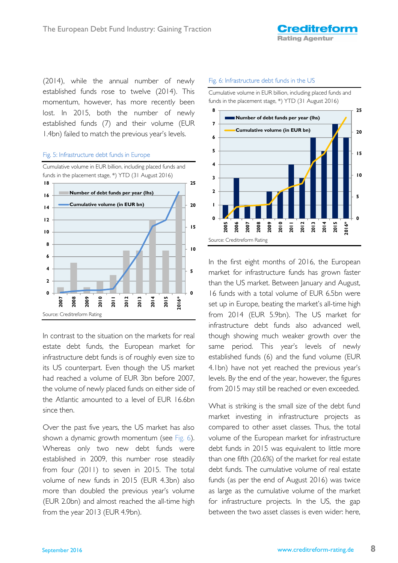(2014), while the annual number of newly established funds rose to twelve (2014). This momentum, however, has more recently been lost. In 2015, both the number of newly established funds (7) and their volume (EUR 1.4bn) failed to match the previous year's levels.

### Fig. 5: Infrastructure debt funds in Europe



In contrast to the situation on the markets for real estate debt funds, the European market for infrastructure debt funds is of roughly even size to its US counterpart. Even though the US market had reached a volume of EUR 3bn before 2007, the volume of newly placed funds on either side of the Atlantic amounted to a level of EUR 16.6bn since then.

Over the past five years, the US market has also shown a dynamic growth momentum (see Fig. 6). Whereas only two new debt funds were established in 2009, this number rose steadily from four (2011) to seven in 2015. The total volume of new funds in 2015 (EUR 4.3bn) also more than doubled the previous year's volume (EUR 2.0bn) and almost reached the all-time high from the year 2013 (EUR 4.9bn).

### Fig. 6: Infrastructure debt funds in the US

Cumulative volume in EUR billion, including placed funds and funds in the placement stage, \*) YTD (31 August 2016)



In the first eight months of 2016, the European market for infrastructure funds has grown faster than the US market. Between January and August, 16 funds with a total volume of EUR 6.5bn were set up in Europe, beating the market's all-time high from 2014 (EUR 5.9bn). The US market for infrastructure debt funds also advanced well, though showing much weaker growth over the same period. This year's levels of newly established funds (6) and the fund volume (EUR 4.1bn) have not yet reached the previous year's levels. By the end of the year, however, the figures from 2015 may still be reached or even exceeded.

What is striking is the small size of the debt fund market investing in infrastructure projects as compared to other asset classes. Thus, the total volume of the European market for infrastructure debt funds in 2015 was equivalent to little more than one fifth (20.6%) of the market for real estate debt funds. The cumulative volume of real estate funds (as per the end of August 2016) was twice as large as the cumulative volume of the market for infrastructure projects. In the US, the gap between the two asset classes is even wider: here,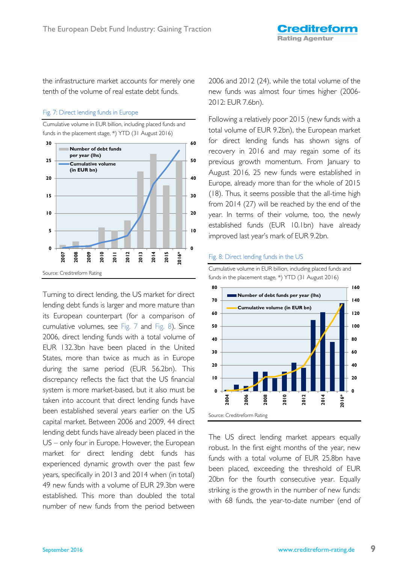the infrastructure market accounts for merely one tenth of the volume of real estate debt funds.

### Fig. 7: Direct lending funds in Europe

Cumulative volume in EUR billion, including placed funds and funds in the placement stage, \*) YTD (31 August 2016)



Turning to direct lending, the US market for direct lending debt funds is larger and more mature than its European counterpart (for a comparison of cumulative volumes, see Fig. 7 and Fig. 8). Since 2006, direct lending funds with a total volume of EUR 132.3bn have been placed in the United States, more than twice as much as in Europe during the same period (EUR 56.2bn). This discrepancy reflects the fact that the US financial system is more market-based, but it also must be taken into account that direct lending funds have been established several years earlier on the US capital market. Between 2006 and 2009, 44 direct lending debt funds have already been placed in the US – only four in Europe. However, the European market for direct lending debt funds has experienced dynamic growth over the past few years, specifically in 2013 and 2014 when (in total) 49 new funds with a volume of EUR 29.3bn were established. This more than doubled the total number of new funds from the period between

2006 and 2012 (24), while the total volume of the new funds was almost four times higher (2006- 2012: EUR 7.6bn).

Following a relatively poor 2015 (new funds with a total volume of EUR 9.2bn), the European market for direct lending funds has shown signs of recovery in 2016 and may regain some of its previous growth momentum. From January to August 2016, 25 new funds were established in Europe, already more than for the whole of 2015 (18). Thus, it seems possible that the all-time high from 2014 (27) will be reached by the end of the year. In terms of their volume, too, the newly established funds (EUR 10.1bn) have already improved last year's mark of EUR 9.2bn.

### Fig. 8: Direct lending funds in the US

Cumulative volume in EUR billion, including placed funds and funds in the placement stage, \*) YTD (31 August 2016)



The US direct lending market appears equally robust. In the first eight months of the year, new funds with a total volume of EUR 25.8bn have been placed, exceeding the threshold of EUR 20bn for the fourth consecutive year. Equally striking is the growth in the number of new funds: with 68 funds, the year-to-date number (end of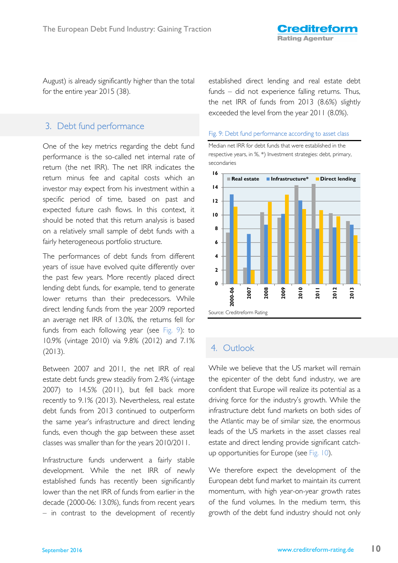August) is already significantly higher than the total for the entire year 2015 (38).

# 3. Debt fund performance

One of the key metrics regarding the debt fund performance is the so-called net internal rate of return (the net IRR). The net IRR indicates the return minus fee and capital costs which an investor may expect from his investment within a specific period of time, based on past and expected future cash flows. In this context, it should be noted that this return analysis is based on a relatively small sample of debt funds with a fairly heterogeneous portfolio structure.

The performances of debt funds from different years of issue have evolved quite differently over the past few years. More recently placed direct lending debt funds, for example, tend to generate lower returns than their predecessors. While direct lending funds from the year 2009 reported an average net IRR of 13.0%, the returns fell for funds from each following year (see Fig. 9): to 10.9% (vintage 2010) via 9.8% (2012) and 7.1% (2013).

Between 2007 and 2011, the net IRR of real estate debt funds grew steadily from 2.4% (vintage 2007) to 14.5% (2011), but fell back more recently to 9.1% (2013). Nevertheless, real estate debt funds from 2013 continued to outperform the same year's infrastructure and direct lending funds, even though the gap between these asset classes was smaller than for the years 2010/2011.

Infrastructure funds underwent a fairly stable development. While the net IRR of newly established funds has recently been significantly lower than the net IRR of funds from earlier in the decade (2000-06: 13.0%), funds from recent years – in contrast to the development of recently established direct lending and real estate debt funds – did not experience falling returns. Thus, the net IRR of funds from 2013 (8.6%) slightly exceeded the level from the year 2011 (8.0%).

### Fig. 9: Debt fund performance according to asset class

Median net IRR for debt funds that were established in the respective years, in %, \*) Investment strategies: debt, primary, secondaries



# 4. Outlook

While we believe that the US market will remain the epicenter of the debt fund industry, we are confident that Europe will realize its potential as a driving force for the industry's growth. While the infrastructure debt fund markets on both sides of the Atlantic may be of similar size, the enormous leads of the US markets in the asset classes real estate and direct lending provide significant catchup opportunities for Europe (see Fig. 10).

We therefore expect the development of the European debt fund market to maintain its current momentum, with high year-on-year growth rates of the fund volumes. In the medium term, this growth of the debt fund industry should not only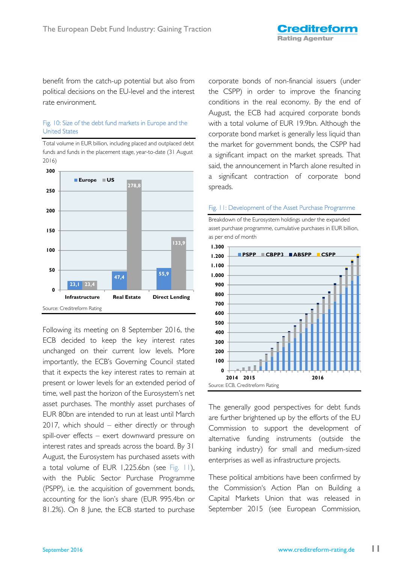benefit from the catch-up potential but also from political decisions on the EU-level and the interest rate environment.

### Fig. 10: Size of the debt fund markets in Europe and the United States



Total volume in EUR billion, including placed and outplaced debt funds and funds in the placement stage, year-to-date (31 August 2016)

Following its meeting on 8 September 2016, the ECB decided to keep the key interest rates unchanged on their current low levels. More importantly, the ECB's Governing Council stated that it expects the key interest rates to remain at present or lower levels for an extended period of time, well past the horizon of the Eurosystem's net asset purchases. The monthly asset purchases of EUR 80bn are intended to run at least until March 2017, which should – either directly or through spill-over effects – exert downward pressure on interest rates and spreads across the board. By 31 August, the Eurosystem has purchased assets with a total volume of EUR 1,225.6bn (see Fig. 11), with the Public Sector Purchase Programme (PSPP), i.e. the acquisition of government bonds, accounting for the lion's share (EUR 995.4bn or 81.2%). On 8 June, the ECB started to purchase

corporate bonds of non-financial issuers (under the CSPP) in order to improve the financing conditions in the real economy. By the end of August, the ECB had acquired corporate bonds with a total volume of EUR 19.9bn. Although the corporate bond market is generally less liquid than the market for government bonds, the CSPP had a significant impact on the market spreads. That said, the announcement in March alone resulted in a significant contraction of corporate bond spreads.

### Fig. 11: Development of the Asset Purchase Programme

Breakdown of the Eurosystem holdings under the expanded asset purchase programme, cumulative purchases in EUR billion, as per end of month



The generally good perspectives for debt funds are further brightened up by the efforts of the EU Commission to support the development of alternative funding instruments (outside the banking industry) for small and medium-sized enterprises as well as infrastructure projects.

These political ambitions have been confirmed by the Commission's Action Plan on Building a Capital Markets Union that was released in September 2015 (see European Commission,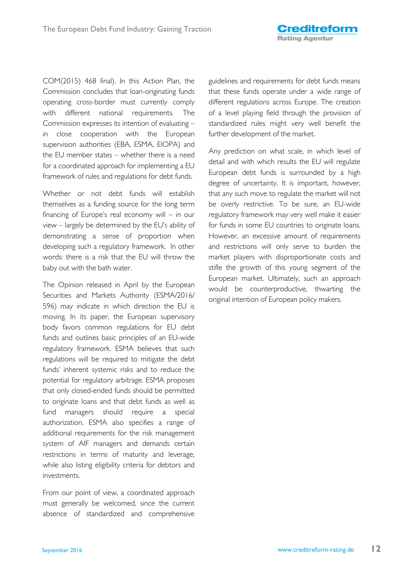COM(2015) 468 final). In this Action Plan, the Commission concludes that loan-originating funds operating cross-border must currently comply with different national requirements. The Commission expresses its intention of evaluating – in close cooperation with the European supervision authorities (EBA, ESMA, EIOPA) and the EU member states – whether there is a need for a coordinated approach for implementing a EU framework of rules and regulations for debt funds.

Whether or not debt funds will establish themselves as a funding source for the long term financing of Europe's real economy will – in our view – largely be determined by the EU's ability of demonstrating a sense of proportion when developing such a regulatory framework. In other words: there is a risk that the EU will throw the baby out with the bath water.

The Opinion released in April by the European Securities and Markets Authority (ESMA/2016/ 596) may indicate in which direction the EU is moving. In its paper, the European supervisory body favors common regulations for EU debt funds and outlines basic principles of an EU-wide regulatory framework. ESMA believes that such regulations will be required to mitigate the debt funds' inherent systemic risks and to reduce the potential for regulatory arbitrage. ESMA proposes that only closed-ended funds should be permitted to originate loans and that debt funds as well as fund managers should require a special authorization. ESMA also specifies a range of additional requirements for the risk management system of AIF managers and demands certain restrictions in terms of maturity and leverage, while also listing eligibility criteria for debtors and investments.

From our point of view, a coordinated approach must generally be welcomed, since the current absence of standardized and comprehensive

guidelines and requirements for debt funds means that these funds operate under a wide range of different regulations across Europe. The creation of a level playing field through the provision of standardized rules might very well benefit the further development of the market.

Any prediction on what scale, in which level of detail and with which results the EU will regulate European debt funds is surrounded by a high degree of uncertainty. It is important, however, that any such move to regulate the market will not be overly restrictive. To be sure, an EU-wide regulatory framework may very well make it easier for funds in some EU countries to originate loans. However, an excessive amount of requirements and restrictions will only serve to burden the market players with disproportionate costs and stifle the growth of this young segment of the European market. Ultimately, such an approach would be counterproductive, thwarting the original intention of European policy makers.